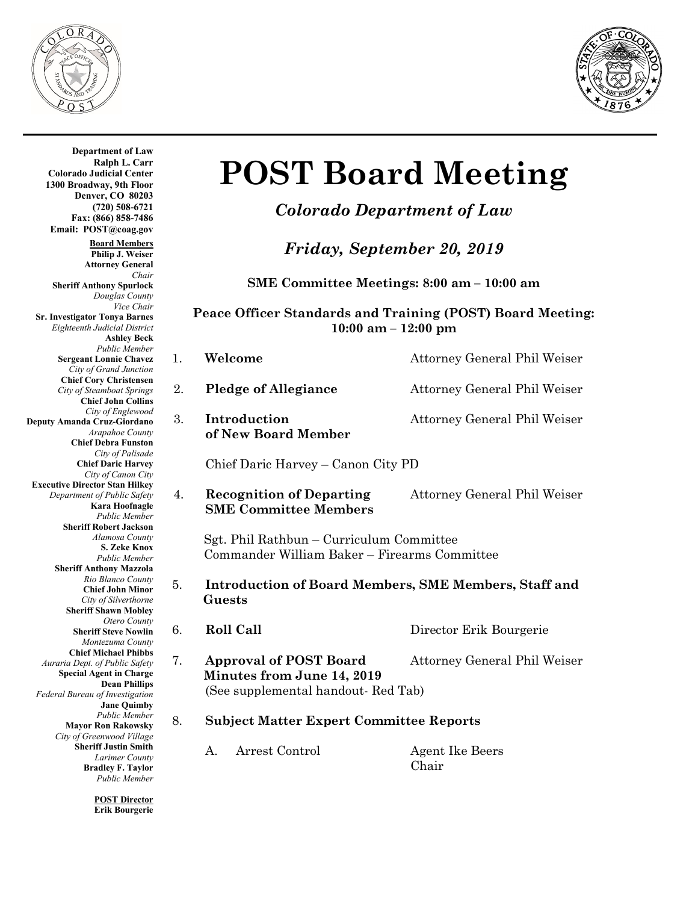



1. **Welcome Attorney General Phil Weiser Department of Law Ralph L. Carr Colorado Judicial Center 1300 Broadway, 9th Floor Denver, CO 80203 (720) 508-6721 Fax: (866) 858-7486 Email: POST@coag.gov Board Members Philip J. Weiser Attorney General** *Chair* **Sheriff Anthony Spurlock** *Douglas County Vice Chair* **Sr. Investigator Tonya Barnes** *Eighteenth Judicial District* **Ashley Beck** *Public Member* **Sergeant Lonnie Chavez** *City of Grand Junction* **Chief Cory Christensen** *City of Steamboat Springs* **Chief John Collins** *City of Englewood* **Deputy Amanda Cruz-Giordano** *Arapahoe County* **Chief Debra Funston** *City of Palisade* **Chief Daric Harvey** *City of Canon City* **Executive Director Stan Hilkey** *Department of Public Safety* **Kara Hoofnagle** *Public Member* **Sheriff Robert Jackson** *Alamosa County* **S. Zeke Knox** *Public Member* **Sheriff Anthony Mazzola** *Rio Blanco County* **Chief John Minor** *City of Silverthorne* **Sheriff Shawn Mobley** *Otero County* **Sheriff Steve Nowlin** *Montezuma County* **Chief Michael Phibbs** *Auraria Dept. of Public Safety* **Special Agent in Charge Dean Phillips** *Federal Bureau of Investigation* **Jane Quimby** *Public Member* **Mayor Ron Rakowsky** *City of Greenwood Village* **Sheriff Justin Smith** *Larimer County* **Bradley F. Taylor** *Public Member* **POST Director**

**Erik Bourgerie**

# **POST Board Meeting**

## *Colorado Department of Law*

*Friday, September 20, 2019*

**SME Committee Meetings: 8:00 am – 10:00 am**

#### **Peace Officer Standards and Training (POST) Board Meeting: 10:00 am – 12:00 pm**

| 2. | <b>Pledge of Allegiance</b>                                                              | Attorney General Phil Weiser |  |  |
|----|------------------------------------------------------------------------------------------|------------------------------|--|--|
| 3. | Introduction<br>of New Board Member                                                      | Attorney General Phil Weiser |  |  |
|    | Chief Daric Harvey – Canon City PD                                                       |                              |  |  |
| 4. | <b>Recognition of Departing</b><br><b>SME Committee Members</b>                          | Attorney General Phil Weiser |  |  |
|    | Sgt. Phil Rathbun - Curriculum Committee<br>Commander William Baker - Firearms Committee |                              |  |  |
|    | Introduction of Board Members, SME Members, Staff and                                    |                              |  |  |

- 5. **Introduction of Board Members, SME Members, Staff and Guests**
	-
- 6. **Roll Call** Director Erik Bourgerie
- 7. **Approval of POST Board** Attorney General Phil Weiser  **Minutes from June 14, 2019** (See supplemental handout- Red Tab)
- 8. **Subject Matter Expert Committee Reports**
	- A. Arrest Control Agent Ike Beers
		- Chair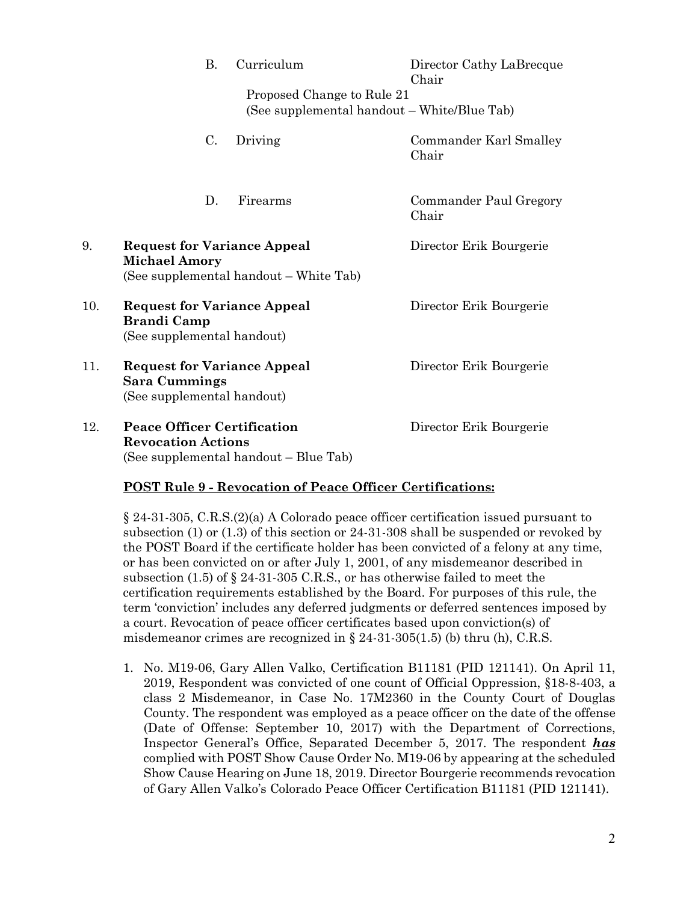|     |                                                                                                      | <b>B.</b>      | Curriculum                                                                | Director Cathy LaBrecque<br>Chair |
|-----|------------------------------------------------------------------------------------------------------|----------------|---------------------------------------------------------------------------|-----------------------------------|
|     |                                                                                                      |                | Proposed Change to Rule 21<br>(See supplemental handout – White/Blue Tab) |                                   |
|     |                                                                                                      | $\mathbf{C}$ . | Driving                                                                   | Commander Karl Smalley<br>Chair   |
|     |                                                                                                      | D.             | Firearms                                                                  | Commander Paul Gregory<br>Chair   |
| 9.  | <b>Request for Variance Appeal</b><br><b>Michael Amory</b><br>(See supplemental handout – White Tab) |                |                                                                           | Director Erik Bourgerie           |
| 10. | <b>Request for Variance Appeal</b><br><b>Brandi Camp</b><br>(See supplemental handout)               |                |                                                                           | Director Erik Bourgerie           |
| 11. | <b>Request for Variance Appeal</b><br><b>Sara Cummings</b><br>(See supplemental handout)             |                |                                                                           | Director Erik Bourgerie           |
| 12. | <b>Peace Officer Certification</b><br><b>Revocation Actions</b>                                      |                | (See supplemental handout – Blue Tab)                                     | Director Erik Bourgerie           |

### **POST Rule 9 - Revocation of Peace Officer Certifications:**

§ 24-31-305, C.R.S.(2)(a) A Colorado peace officer certification issued pursuant to subsection (1) or (1.3) of this section or 24-31-308 shall be suspended or revoked by the POST Board if the certificate holder has been convicted of a felony at any time, or has been convicted on or after July 1, 2001, of any misdemeanor described in subsection (1.5) of  $\S$  24-31-305 C.R.S., or has otherwise failed to meet the certification requirements established by the Board. For purposes of this rule, the term 'conviction' includes any deferred judgments or deferred sentences imposed by a court. Revocation of peace officer certificates based upon conviction(s) of misdemeanor crimes are recognized in § 24-31-305(1.5) (b) thru (h), C.R.S.

1. No. M19-06, Gary Allen Valko, Certification B11181 (PID 121141). On April 11, 2019, Respondent was convicted of one count of Official Oppression, §18-8-403, a class 2 Misdemeanor, in Case No. 17M2360 in the County Court of Douglas County. The respondent was employed as a peace officer on the date of the offense (Date of Offense: September 10, 2017) with the Department of Corrections, Inspector General's Office, Separated December 5, 2017. The respondent *has* complied with POST Show Cause Order No. M19-06 by appearing at the scheduled Show Cause Hearing on June 18, 2019. Director Bourgerie recommends revocation of Gary Allen Valko's Colorado Peace Officer Certification B11181 (PID 121141).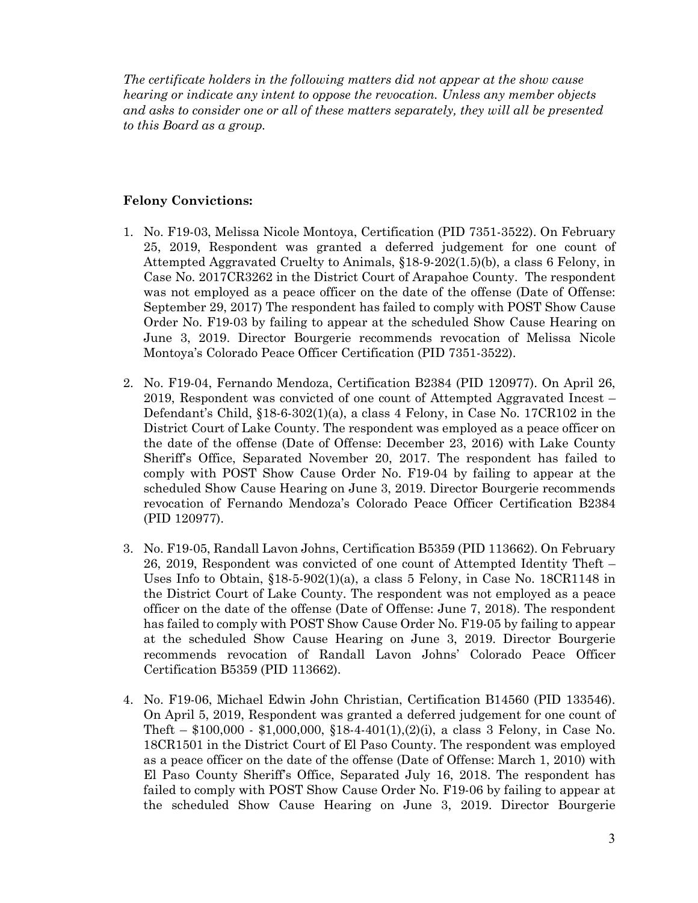*The certificate holders in the following matters did not appear at the show cause hearing or indicate any intent to oppose the revocation. Unless any member objects and asks to consider one or all of these matters separately, they will all be presented to this Board as a group.*

#### **Felony Convictions:**

- 1. No. F19-03, Melissa Nicole Montoya, Certification (PID 7351-3522). On February 25, 2019, Respondent was granted a deferred judgement for one count of Attempted Aggravated Cruelty to Animals, §18-9-202(1.5)(b), a class 6 Felony, in Case No. 2017CR3262 in the District Court of Arapahoe County. The respondent was not employed as a peace officer on the date of the offense (Date of Offense: September 29, 2017) The respondent has failed to comply with POST Show Cause Order No. F19-03 by failing to appear at the scheduled Show Cause Hearing on June 3, 2019. Director Bourgerie recommends revocation of Melissa Nicole Montoya's Colorado Peace Officer Certification (PID 7351-3522).
- 2. No. F19-04, Fernando Mendoza, Certification B2384 (PID 120977). On April 26, 2019, Respondent was convicted of one count of Attempted Aggravated Incest – Defendant's Child, §18-6-302(1)(a), a class 4 Felony, in Case No. 17CR102 in the District Court of Lake County. The respondent was employed as a peace officer on the date of the offense (Date of Offense: December 23, 2016) with Lake County Sheriff's Office, Separated November 20, 2017. The respondent has failed to comply with POST Show Cause Order No. F19-04 by failing to appear at the scheduled Show Cause Hearing on June 3, 2019. Director Bourgerie recommends revocation of Fernando Mendoza's Colorado Peace Officer Certification B2384 (PID 120977).
- 3. No. F19-05, Randall Lavon Johns, Certification B5359 (PID 113662). On February 26, 2019, Respondent was convicted of one count of Attempted Identity Theft – Uses Info to Obtain,  $$18-5-902(1)(a)$ , a class 5 Felony, in Case No. 18CR1148 in the District Court of Lake County. The respondent was not employed as a peace officer on the date of the offense (Date of Offense: June 7, 2018). The respondent has failed to comply with POST Show Cause Order No. F19-05 by failing to appear at the scheduled Show Cause Hearing on June 3, 2019. Director Bourgerie recommends revocation of Randall Lavon Johns' Colorado Peace Officer Certification B5359 (PID 113662).
- 4. No. F19-06, Michael Edwin John Christian, Certification B14560 (PID 133546). On April 5, 2019, Respondent was granted a deferred judgement for one count of Theft –  $$100,000 - $1,000,000, $18-4-401(1), (2)(i)$ , a class 3 Felony, in Case No. 18CR1501 in the District Court of El Paso County. The respondent was employed as a peace officer on the date of the offense (Date of Offense: March 1, 2010) with El Paso County Sheriff's Office, Separated July 16, 2018. The respondent has failed to comply with POST Show Cause Order No. F19-06 by failing to appear at the scheduled Show Cause Hearing on June 3, 2019. Director Bourgerie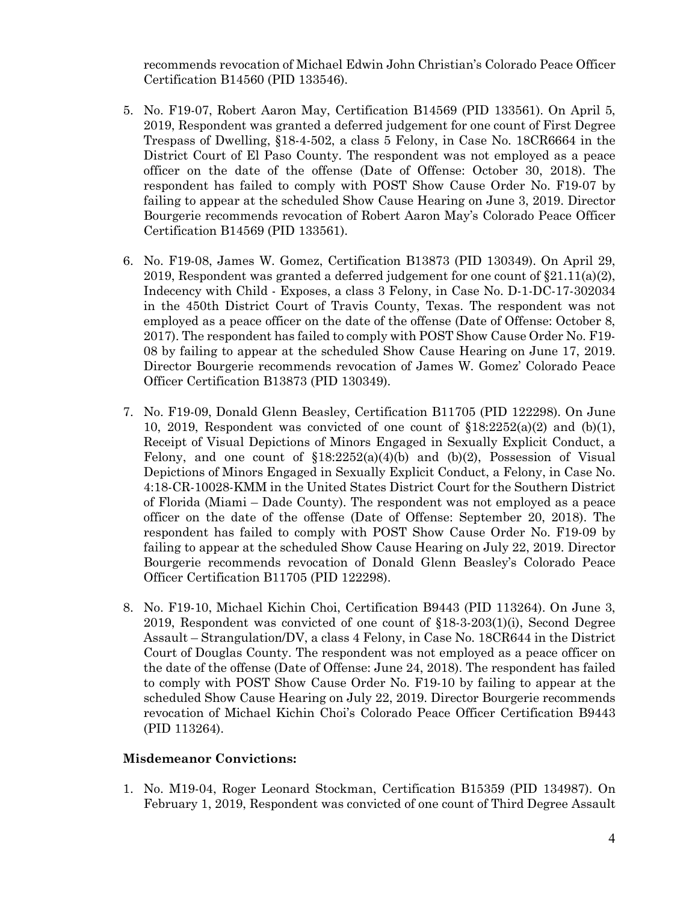recommends revocation of Michael Edwin John Christian's Colorado Peace Officer Certification B14560 (PID 133546).

- 5. No. F19-07, Robert Aaron May, Certification B14569 (PID 133561). On April 5, 2019, Respondent was granted a deferred judgement for one count of First Degree Trespass of Dwelling, §18-4-502, a class 5 Felony, in Case No. 18CR6664 in the District Court of El Paso County. The respondent was not employed as a peace officer on the date of the offense (Date of Offense: October 30, 2018). The respondent has failed to comply with POST Show Cause Order No. F19-07 by failing to appear at the scheduled Show Cause Hearing on June 3, 2019. Director Bourgerie recommends revocation of Robert Aaron May's Colorado Peace Officer Certification B14569 (PID 133561).
- 6. No. F19-08, James W. Gomez, Certification B13873 (PID 130349). On April 29, 2019, Respondent was granted a deferred judgement for one count of  $\S21.11(a)(2)$ , Indecency with Child - Exposes, a class 3 Felony, in Case No. D-1-DC-17-302034 in the 450th District Court of Travis County, Texas. The respondent was not employed as a peace officer on the date of the offense (Date of Offense: October 8, 2017). The respondent has failed to comply with POST Show Cause Order No. F19- 08 by failing to appear at the scheduled Show Cause Hearing on June 17, 2019. Director Bourgerie recommends revocation of James W. Gomez' Colorado Peace Officer Certification B13873 (PID 130349).
- 7. No. F19-09, Donald Glenn Beasley, Certification B11705 (PID 122298). On June 10, 2019, Respondent was convicted of one count of  $\S 18:2252(a)(2)$  and (b)(1), Receipt of Visual Depictions of Minors Engaged in Sexually Explicit Conduct, a Felony, and one count of  $\S18:2252(a)(4)(b)$  and  $(b)(2)$ , Possession of Visual Depictions of Minors Engaged in Sexually Explicit Conduct, a Felony, in Case No. 4:18-CR-10028-KMM in the United States District Court for the Southern District of Florida (Miami – Dade County). The respondent was not employed as a peace officer on the date of the offense (Date of Offense: September 20, 2018). The respondent has failed to comply with POST Show Cause Order No. F19-09 by failing to appear at the scheduled Show Cause Hearing on July 22, 2019. Director Bourgerie recommends revocation of Donald Glenn Beasley's Colorado Peace Officer Certification B11705 (PID 122298).
- 8. No. F19-10, Michael Kichin Choi, Certification B9443 (PID 113264). On June 3, 2019, Respondent was convicted of one count of §18-3-203(1)(i), Second Degree Assault – Strangulation/DV, a class 4 Felony, in Case No. 18CR644 in the District Court of Douglas County. The respondent was not employed as a peace officer on the date of the offense (Date of Offense: June 24, 2018). The respondent has failed to comply with POST Show Cause Order No. F19-10 by failing to appear at the scheduled Show Cause Hearing on July 22, 2019. Director Bourgerie recommends revocation of Michael Kichin Choi's Colorado Peace Officer Certification B9443 (PID 113264).

#### **Misdemeanor Convictions:**

1. No. M19-04, Roger Leonard Stockman, Certification B15359 (PID 134987). On February 1, 2019, Respondent was convicted of one count of Third Degree Assault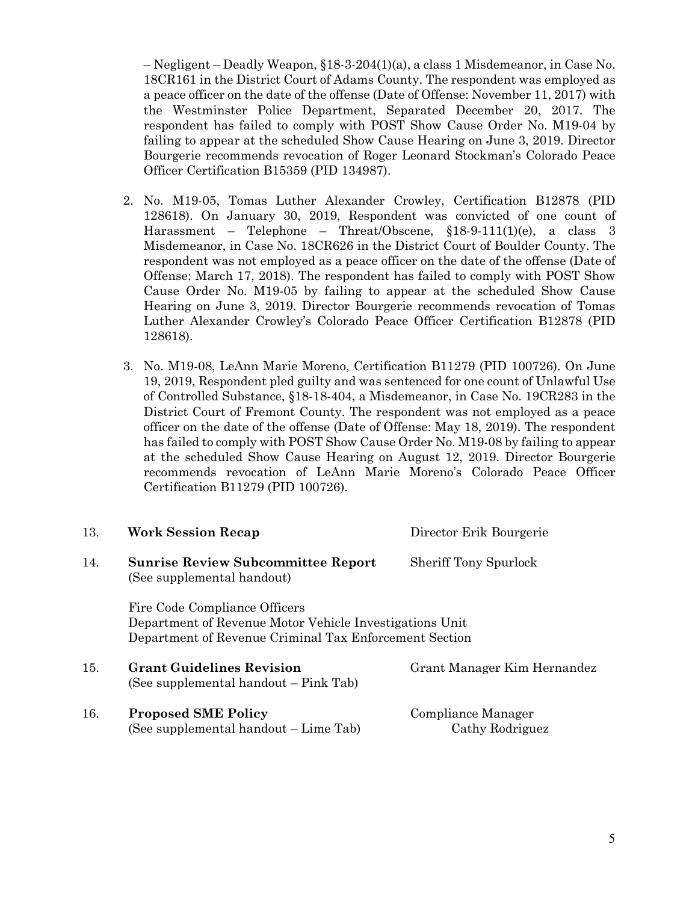– Negligent – Deadly Weapon, §18-3-204(1)(a), a class 1 Misdemeanor, in Case No. 18CR161 in the District Court of Adams County. The respondent was employed as a peace officer on the date of the offense (Date of Offense: November 11, 2017) with the Westminster Police Department, Separated December 20, 2017. The respondent has failed to comply with POST Show Cause Order No. M19-04 by failing to appear at the scheduled Show Cause Hearing on June 3, 2019. Director Bourgerie recommends revocation of Roger Leonard Stockman's Colorado Peace Officer Certification B15359 (PID 134987).

- 2. No. M19-05, Tomas Luther Alexander Crowley, Certification B12878 (PID 128618). On January 30, 2019, Respondent was convicted of one count of Harassment – Telephone – Threat/Obscene, §18-9-111(1)(e), a class 3 Misdemeanor, in Case No. 18CR626 in the District Court of Boulder County. The respondent was not employed as a peace officer on the date of the offense (Date of Offense: March 17, 2018). The respondent has failed to comply with POST Show Cause Order No. M19-05 by failing to appear at the scheduled Show Cause Hearing on June 3, 2019. Director Bourgerie recommends revocation of Tomas Luther Alexander Crowley's Colorado Peace Officer Certification B12878 (PID 128618).
- 3. No. M19-08, LeAnn Marie Moreno, Certification B11279 (PID 100726). On June 19, 2019, Respondent pled guilty and was sentenced for one count of Unlawful Use of Controlled Substance, §18-18-404, a Misdemeanor, in Case No. 19CR283 in the District Court of Fremont County. The respondent was not employed as a peace officer on the date of the offense (Date of Offense: May 18, 2019). The respondent has failed to comply with POST Show Cause Order No. M19-08 by failing to appear at the scheduled Show Cause Hearing on August 12, 2019. Director Bourgerie recommends revocation of LeAnn Marie Moreno's Colorado Peace Officer Certification B11279 (PID 100726).

| 13. | <b>Work Session Recap</b>                                                                                                                          | Director Erik Bourgerie               |  |  |  |
|-----|----------------------------------------------------------------------------------------------------------------------------------------------------|---------------------------------------|--|--|--|
| 14. | <b>Sunrise Review Subcommittee Report</b><br>(See supplemental handout)                                                                            | <b>Sheriff Tony Spurlock</b>          |  |  |  |
|     | Fire Code Compliance Officers<br>Department of Revenue Motor Vehicle Investigations Unit<br>Department of Revenue Criminal Tax Enforcement Section |                                       |  |  |  |
| 15. | <b>Grant Guidelines Revision</b><br>(See supplemental handout – Pink Tab)                                                                          | Grant Manager Kim Hernandez           |  |  |  |
| 16. | <b>Proposed SME Policy</b><br>(See supplemental handout – Lime Tab)                                                                                | Compliance Manager<br>Cathy Rodriguez |  |  |  |